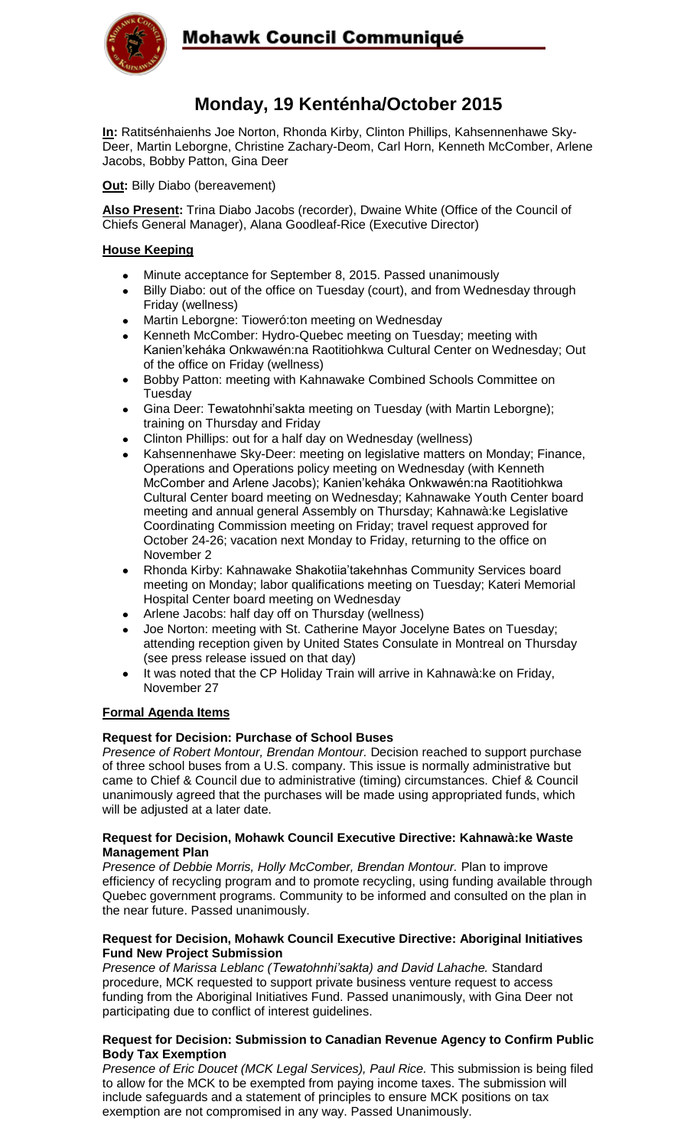

# Mohawk Council Communiqué

# **Monday, 19 Kenténha/October 2015**

**In:** Ratitsénhaienhs Joe Norton, Rhonda Kirby, Clinton Phillips, Kahsennenhawe Sky-Deer, Martin Leborgne, Christine Zachary-Deom, Carl Horn, Kenneth McComber, Arlene Jacobs, Bobby Patton, Gina Deer

**Out: Billy Diabo (bereavement)** 

**Also Present:** Trina Diabo Jacobs (recorder), Dwaine White (Office of the Council of Chiefs General Manager), Alana Goodleaf-Rice (Executive Director)

### **House Keeping**

- Minute acceptance for September 8, 2015. Passed unanimously
- Billy Diabo: out of the office on Tuesday (court), and from Wednesday through Friday (wellness)
- Martin Leborgne: Tioweró:ton meeting on Wednesday
- Kenneth McComber: Hydro-Quebec meeting on Tuesday; meeting with Kanien'keháka Onkwawén:na Raotitiohkwa Cultural Center on Wednesday; Out of the office on Friday (wellness)
- Bobby Patton: meeting with Kahnawake Combined Schools Committee on Tuesday
- Gina Deer: Tewatohnhi'sakta meeting on Tuesday (with Martin Leborgne); training on Thursday and Friday
- Clinton Phillips: out for a half day on Wednesday (wellness)
- Kahsennenhawe Sky-Deer: meeting on legislative matters on Monday; Finance, Operations and Operations policy meeting on Wednesday (with Kenneth McComber and Arlene Jacobs); Kanien'keháka Onkwawén:na Raotitiohkwa Cultural Center board meeting on Wednesday; Kahnawake Youth Center board meeting and annual general Assembly on Thursday; Kahnawà:ke Legislative Coordinating Commission meeting on Friday; travel request approved for October 24-26; vacation next Monday to Friday, returning to the office on November 2
- Rhonda Kirby: Kahnawake Shakotiia'takehnhas Community Services board meeting on Monday; labor qualifications meeting on Tuesday; Kateri Memorial Hospital Center board meeting on Wednesday
- Arlene Jacobs: half day off on Thursday (wellness)
- Joe Norton: meeting with St. Catherine Mayor Jocelyne Bates on Tuesday; attending reception given by United States Consulate in Montreal on Thursday (see press release issued on that day)
- It was noted that the CP Holiday Train will arrive in Kahnawà:ke on Friday,  $\bullet$ November 27

### **Formal Agenda Items**

#### **Request for Decision: Purchase of School Buses**

*Presence of Robert Montour, Brendan Montour.* Decision reached to support purchase of three school buses from a U.S. company. This issue is normally administrative but came to Chief & Council due to administrative (timing) circumstances. Chief & Council unanimously agreed that the purchases will be made using appropriated funds, which will be adjusted at a later date.

#### **Request for Decision, Mohawk Council Executive Directive: Kahnawà:ke Waste Management Plan**

*Presence of Debbie Morris, Holly McComber, Brendan Montour.* Plan to improve efficiency of recycling program and to promote recycling, using funding available through Quebec government programs. Community to be informed and consulted on the plan in the near future. Passed unanimously.

#### **Request for Decision, Mohawk Council Executive Directive: Aboriginal Initiatives Fund New Project Submission**

*Presence of Marissa Leblanc (Tewatohnhi'sakta) and David Lahache.* Standard procedure, MCK requested to support private business venture request to access funding from the Aboriginal Initiatives Fund. Passed unanimously, with Gina Deer not participating due to conflict of interest guidelines.

#### **Request for Decision: Submission to Canadian Revenue Agency to Confirm Public Body Tax Exemption**

*Presence of Eric Doucet (MCK Legal Services), Paul Rice. This submission is being filed* to allow for the MCK to be exempted from paying income taxes. The submission will include safeguards and a statement of principles to ensure MCK positions on tax exemption are not compromised in any way. Passed Unanimously.